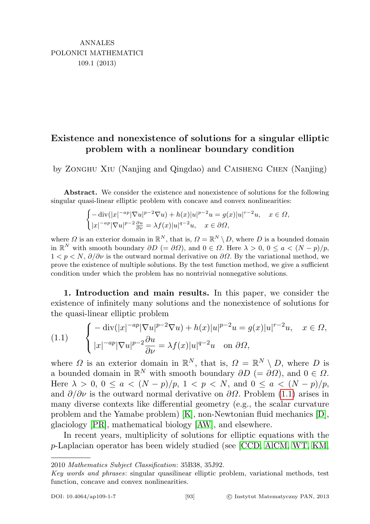## Existence and nonexistence of solutions for a singular elliptic problem with a nonlinear boundary condition

by Zonghu Xiu (Nanjing and Qingdao) and Caisheng Chen (Nanjing)

Abstract. We consider the existence and nonexistence of solutions for the following singular quasi-linear elliptic problem with concave and convex nonlinearities:

$$
\begin{cases} -\operatorname{div}(|x|^{-ap}|\nabla u|^{p-2}\nabla u)+h(x)|u|^{p-2}u=g(x)|u|^{r-2}u,\quad x\in\varOmega,\\ |x|^{-ap}|\nabla u|^{p-2}\tfrac{\partial u}{\partial\nu}=\lambda f(x)|u|^{q-2}u,\quad x\in\partial\varOmega,\end{cases}
$$

where  $\Omega$  is an exterior domain in  $\mathbb{R}^N$ , that is,  $\Omega = \mathbb{R}^N \setminus D$ , where D is a bounded domain in  $\mathbb{R}^N$  with smooth boundary  $\partial D = \partial \Omega$ , and  $0 \in \Omega$ . Here  $\lambda > 0$ ,  $0 \le a \le (N - p)/p$ ,  $1 < p < N$ ,  $\partial/\partial \nu$  is the outward normal derivative on  $\partial \Omega$ . By the variational method, we prove the existence of multiple solutions. By the test function method, we give a sufficient condition under which the problem has no nontrivial nonnegative solutions.

1. Introduction and main results. In this paper, we consider the existence of infinitely many solutions and the nonexistence of solutions for the quasi-linear elliptic problem

<span id="page-0-0"></span>(1.1) 
$$
\begin{cases} -\operatorname{div}(|x|^{-ap}|\nabla u|^{p-2}\nabla u) + h(x)|u|^{p-2}u = g(x)|u|^{r-2}u, & x \in \Omega, \\ |x|^{-ap}|\nabla u|^{p-2}\frac{\partial u}{\partial \nu} = \lambda f(x)|u|^{q-2}u \text{ on } \partial\Omega, \end{cases}
$$

where  $\Omega$  is an exterior domain in  $\mathbb{R}^N$ , that is,  $\Omega = \mathbb{R}^N \setminus D$ , where D is a bounded domain in  $\mathbb{R}^N$  with smooth boundary  $\partial D = \partial \Omega$ , and  $0 \in \Omega$ . Here  $\lambda > 0$ ,  $0 \le a \le (N - p)/p$ ,  $1 < p < N$ , and  $0 \le a \le (N - p)/p$ , and  $\partial/\partial \nu$  is the outward normal derivative on  $\partial\Omega$ . Problem [\(1.1\)](#page-0-0) arises in many diverse contexts like differential geometry (e.g., the scalar curvature problem and the Yamabe problem) [\[K\]](#page-13-0), non-Newtonian fluid mechanics [\[D\]](#page-13-1), glaciology [\[PR\]](#page-13-2), mathematical biology [\[AW\]](#page-12-0), and elsewhere.

In recent years, multiplicity of solutions for elliptic equations with the p-Laplacian operator has been widely studied (see [\[CCD,](#page-13-3) [AlCM,](#page-12-1) [WT,](#page-13-4) [KM,](#page-13-5)

<sup>2010</sup> Mathematics Subject Classification: 35B38, 35J92.

Key words and phrases: singular quasilinear elliptic problem, variational methods, test function, concave and convex nonlinearities.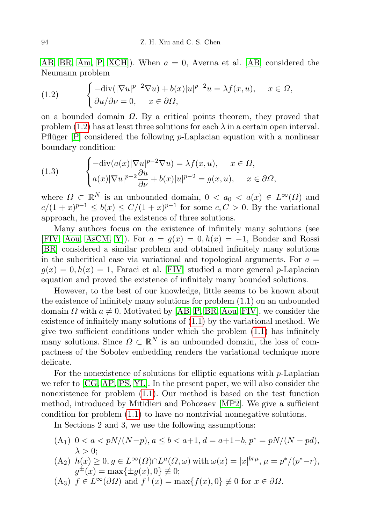[AB,](#page-12-2) [BR,](#page-13-6) [Am,](#page-12-3) [P,](#page-13-7) XCH.). When  $a = 0$ , Averna et al. [\[AB\]](#page-12-2) considered the Neumann problem

<span id="page-1-0"></span>(1.2) 
$$
\begin{cases} -\text{div}(|\nabla u|^{p-2}\nabla u) + b(x)|u|^{p-2}u = \lambda f(x, u), & x \in \Omega, \\ \partial u/\partial \nu = 0, & x \in \partial \Omega, \end{cases}
$$

on a bounded domain  $\Omega$ . By a critical points theorem, they proved that problem [\(1.2\)](#page-1-0) has at least three solutions for each  $\lambda$  in a certain open interval. Pflüger  $[P]$  considered the following *p*-Laplacian equation with a nonlinear boundary condition:

(1.3) 
$$
\begin{cases}\n-\text{div}(a(x)|\nabla u|^{p-2}\nabla u) = \lambda f(x, u), & x \in \Omega, \\
a(x)|\nabla u|^{p-2}\frac{\partial u}{\partial \nu} + b(x)|u|^{p-2} = g(x, u), & x \in \partial\Omega,\n\end{cases}
$$

where  $\Omega \subset \mathbb{R}^N$  is an unbounded domain,  $0 < a_0 < a(x) \in L^{\infty}(\Omega)$  and  $c/(1+x)^{p-1} \leq b(x) \leq C/(1+x)^{p-1}$  for some  $c, C > 0$ . By the variational approach, he proved the existence of three solutions.

Many authors focus on the existence of infinitely many solutions (see [\[FIV,](#page-13-9) [Aou,](#page-12-4) [AsCM,](#page-12-5) [Y\]](#page-14-0)). For  $a = g(x) = 0, h(x) = -1$ , Bonder and Rossi [\[BR\]](#page-13-6) considered a similar problem and obtained infinitely many solutions in the subcritical case via variational and topological arguments. For  $a =$  $g(x) = 0, h(x) = 1$ , Faraci et al. [\[FIV\]](#page-13-9) studied a more general p-Laplacian equation and proved the existence of infinitely many bounded solutions.

However, to the best of our knowledge, little seems to be known about the existence of infinitely many solutions for problem (1.1) on an unbounded domain  $\Omega$  with  $a \neq 0$ . Motivated by [\[AB,](#page-12-2) [P,](#page-13-7) [BR,](#page-13-6) [Aou,](#page-12-4) [FIV\]](#page-13-9), we consider the existence of infinitely many solutions of [\(1.1\)](#page-0-0) by the variational method. We give two sufficient conditions under which the problem [\(1.1\)](#page-0-0) has infinitely many solutions. Since  $\Omega \subset \mathbb{R}^N$  is an unbounded domain, the loss of compactness of the Sobolev embedding renders the variational technique more delicate.

For the nonexistence of solutions for elliptic equations with  $p$ -Laplacian we refer to [\[CG,](#page-13-10) [AP,](#page-12-6) [PS,](#page-13-11) [YL\]](#page-14-1). In the present paper, we will also consider the nonexistence for problem [\(1.1\)](#page-0-0). Our method is based on the test function method, introduced by Mitidieri and Pohozaev [\[MP2\]](#page-13-12). We give a sufficient condition for problem [\(1.1\)](#page-0-0) to have no nontrivial nonnegative solutions.

In Sections 2 and 3, we use the following assumptions:

- (A<sub>1</sub>)  $0 < a < pN/(N-p)$ ,  $a \le b < a+1$ ,  $d = a+1-b$ ,  $p^* = pN/(N-pd)$ ,  $\lambda > 0$ ;
- $(A_2)$   $h(x) \geq 0, g \in L^{\infty}(\Omega) \cap L^{\mu}(\Omega, \omega)$  with  $\omega(x) = |x|^{br\mu}, \mu = p^*/(p^* r),$  $g^{\pm}(x) = \max\{\pm g(x), 0\} \neq 0;$
- (A<sub>3</sub>)  $f \in L^{\infty}(\partial \Omega)$  and  $f^{+}(x) = \max\{f(x), 0\} \neq 0$  for  $x \in \partial \Omega$ .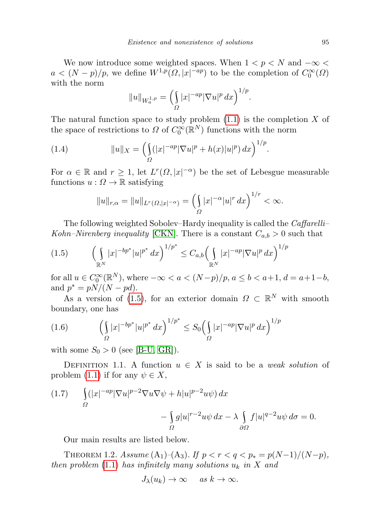We now introduce some weighted spaces. When  $1 < p < N$  and  $-\infty$  $a < (N - p)/p$ , we define  $W^{1,p}(\Omega, |x|^{-ap})$  to be the completion of  $C_0^{\infty}(\Omega)$ with the norm

$$
||u||_{W_a^{1,p}} = \left(\int_{\Omega} |x|^{-ap} |\nabla u|^p \, dx\right)^{1/p}.
$$

The natural function space to study problem  $(1.1)$  is the completion X of the space of restrictions to  $\Omega$  of  $C_0^{\infty}(\mathbb{R}^N)$  functions with the norm

(1.4) 
$$
||u||_X = \left(\int_{\Omega} (|x|^{-ap} |\nabla u|^p + h(x)|u|^p) dx\right)^{1/p}.
$$

For  $\alpha \in \mathbb{R}$  and  $r \geq 1$ , let  $L^r(\Omega, |x|^{-\alpha})$  be the set of Lebesgue measurable functions  $u : \Omega \to \mathbb{R}$  satisfying

<span id="page-2-1"></span>
$$
||u||_{r,\alpha} = ||u||_{L^r(\Omega, |x|^{-\alpha})} = \left(\int_{\Omega} |x|^{-\alpha} |u|^r \, dx\right)^{1/r} < \infty.
$$

The following weighted Sobolev–Hardy inequality is called the Caffarelli– Kohn–Nirenberg inequality [\[CKN\]](#page-13-13). There is a constant  $C_{a,b} > 0$  such that

<span id="page-2-0"></span>
$$
(1.5) \qquad \left(\int\limits_{\mathbb{R}^N} |x|^{-bp^*}|u|^{p^*} dx\right)^{1/p^*} \leq C_{a,b} \left(\int\limits_{\mathbb{R}^N} |x|^{-ap}|\nabla u|^p dx\right)^{1/p^*}
$$

for all  $u \in C_0^{\infty}(\mathbb{R}^N)$ , where  $-\infty < a < (N-p)/p$ ,  $a \le b < a+1$ ,  $d = a+1-b$ , and  $p^* = pN/(N - pd)$ .

As a version of [\(1.5\)](#page-2-0), for an exterior domain  $\Omega \subset \mathbb{R}^N$  with smooth boundary, one has

<span id="page-2-2"></span>(1.6) 
$$
\left(\int_{\Omega} |x|^{-bp^*}|u|^{p^*} dx\right)^{1/p^*} \leq S_0 \left(\int_{\Omega} |x|^{-ap} |\nabla u|^p dx\right)^{1/p}
$$

with some  $S_0 > 0$  (see [\[B-U,](#page-13-14) [GR\]](#page-13-15)).

DEFINITION 1.1. A function  $u \in X$  is said to be a weak solution of problem [\(1.1\)](#page-0-0) if for any  $\psi \in X$ ,

(1.7) 
$$
\int_{\Omega} (|x|^{-ap} |\nabla u|^{p-2} \nabla u \nabla \psi + h |u|^{p-2} u \psi) dx - \int_{\Omega} g |u|^{r-2} u \psi dx - \lambda \int_{\partial \Omega} f |u|^{q-2} u \psi d\sigma = 0.
$$

Our main results are listed below.

THEOREM 1.2. Assume  $(A_1)$ – $(A_3)$ . If  $p < r < q < p_* = p(N-1)/(N-p)$ , then problem [\(1.1\)](#page-0-0) has infinitely many solutions  $u_k$  in X and

$$
J_{\lambda}(u_k) \to \infty \quad \text{as } k \to \infty.
$$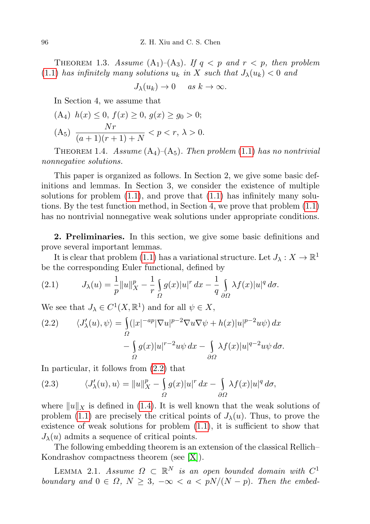THEOREM 1.3. Assume  $(A_1)$ – $(A_3)$ . If  $q \leq p$  and  $r \leq p$ , then problem [\(1.1\)](#page-0-0) has infinitely many solutions  $u_k$  in X such that  $J_\lambda(u_k) < 0$  and

$$
J_{\lambda}(u_k) \to 0 \quad \text{as } k \to \infty.
$$

In Section 4, we assume that

(A<sub>4</sub>) 
$$
h(x) \le 0
$$
,  $f(x) \ge 0$ ,  $g(x) \ge g_0 > 0$ ;  
(A<sub>5</sub>) 
$$
\frac{Nr}{(a+1)(r+1)+N} < p < r, \lambda > 0.
$$

THEOREM 1.4. Assume  $(A_4)$ – $(A_5)$ . Then problem [\(1.1\)](#page-0-0) has no nontrivial nonnegative solutions.

This paper is organized as follows. In Section 2, we give some basic definitions and lemmas. In Section 3, we consider the existence of multiple solutions for problem  $(1.1)$ , and prove that  $(1.1)$  has infinitely many solutions. By the test function method, in Section 4, we prove that problem [\(1.1\)](#page-0-0) has no nontrivial nonnegative weak solutions under appropriate conditions.

2. Preliminaries. In this section, we give some basic definitions and prove several important lemmas.

It is clear that problem [\(1.1\)](#page-0-0) has a variational structure. Let  $J_\lambda: X \to \mathbb{R}^1$ be the corresponding Euler functional, defined by

<span id="page-3-1"></span>(2.1) 
$$
J_{\lambda}(u) = \frac{1}{p} ||u||_{X}^{p} - \frac{1}{r} \int_{\Omega} g(x) |u|^{r} dx - \frac{1}{q} \int_{\partial \Omega} \lambda f(x) |u|^{q} d\sigma.
$$

We see that  $J_{\lambda} \in C^{1}(X,\mathbb{R}^{1})$  and for all  $\psi \in X$ ,

<span id="page-3-0"></span>(2.2) 
$$
\langle J'_{\lambda}(u), \psi \rangle = \int_{\Omega} (|x|^{-ap} |\nabla u|^{p-2} \nabla u \nabla \psi + h(x) |u|^{p-2} u \psi) dx - \int_{\Omega} g(x) |u|^{r-2} u \psi dx - \int_{\partial \Omega} \lambda f(x) |u|^{q-2} u \psi d\sigma.
$$

In particular, it follows from [\(2.2\)](#page-3-0) that

(2.3) 
$$
\langle J'_{\lambda}(u), u \rangle = ||u||_{X}^{p} - \int_{\Omega} g(x)|u|^{r} dx - \int_{\partial \Omega} \lambda f(x)|u|^{q} d\sigma,
$$

where  $||u||_X$  is defined in [\(1.4\)](#page-2-1). It is well known that the weak solutions of problem [\(1.1\)](#page-0-0) are precisely the critical points of  $J_{\lambda}(u)$ . Thus, to prove the existence of weak solutions for problem [\(1.1\)](#page-0-0), it is sufficient to show that  $J_{\lambda}(u)$  admits a sequence of critical points.

The following embedding theorem is an extension of the classical Rellich– Kondrashov compactness theorem (see [\[X\]](#page-13-16)).

LEMMA 2.1. Assume  $\Omega \subset \mathbb{R}^N$  is an open bounded domain with  $C^1$ boundary and  $0 \in \Omega$ ,  $N \geq 3$ ,  $-\infty < a < pN/(N-p)$ . Then the embed-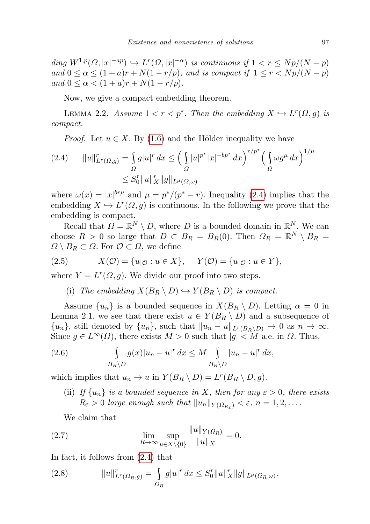ding  $W^{1,p}(\Omega, |x|^{-ap}) \hookrightarrow L^r(\Omega, |x|^{-\alpha})$  is continuous if  $1 < r \leq Np/(N-p)$ and  $0 \le \alpha \le (1+a)r + N(1-r/p)$ , and is compact if  $1 \le r \le Np/(N-p)$ and  $0 \le \alpha < (1 + a)r + N(1 - r/p)$ .

Now, we give a compact embedding theorem.

LEMMA 2.2. Assume  $1 < r < p^*$ . Then the embedding  $X \hookrightarrow L^r(\Omega, g)$  is compact.

*Proof.* Let  $u \in X$ . By [\(1.6\)](#page-2-2) and the Hölder inequality we have

<span id="page-4-0"></span>
$$
(2.4) \t\t ||u||_{L^{r}(\Omega,g)}^{r} = \int_{\Omega} g|u|^{r} dx \le \left(\int_{\Omega} |u|^{p^{*}} |x|^{-bp^{*}} dx\right)^{r/p^{*}} \left(\int_{\Omega} \omega g^{\mu} dx\right)^{1/\mu} \le S_{0}^{r} ||u||_{X}^{r} ||g||_{L^{\mu}(\Omega,\omega)}
$$

where  $\omega(x) = |x|^{br\mu}$  and  $\mu = p^*/(p^* - r)$ . Inequality [\(2.4\)](#page-4-0) implies that the embedding  $X \hookrightarrow L^{r}(\Omega, g)$  is continuous. In the following we prove that the embedding is compact.

Recall that  $\Omega = \mathbb{R}^N \setminus D$ , where D is a bounded domain in  $\mathbb{R}^N$ . We can choose  $R > 0$  so large that  $D \subset B_R = B_R(0)$ . Then  $\Omega_R = \mathbb{R}^N \setminus B_R =$  $\Omega \setminus B_R \subset \Omega$ . For  $\mathcal{O} \subset \Omega$ , we define

(2.5) 
$$
X(\mathcal{O}) = \{u|_{\mathcal{O}} : u \in X\}, \quad Y(\mathcal{O}) = \{u|_{\mathcal{O}} : u \in Y\},
$$

where  $Y = L^r(\Omega, g)$ . We divide our proof into two steps.

(i) The embedding  $X(B_R \setminus D) \hookrightarrow Y(B_R \setminus D)$  is compact.

Assume  $\{u_n\}$  is a bounded sequence in  $X(B_R \setminus D)$ . Letting  $\alpha = 0$  in Lemma 2.1, we see that there exist  $u \in Y(B_R \setminus D)$  and a subsequence of  $\{u_n\}$ , still denoted by  $\{u_n\}$ , such that  $||u_n - u||_{L^r(B_R\setminus D)} \to 0$  as  $n \to \infty$ . Since  $g \in L^{\infty}(\Omega)$ , there exists  $M > 0$  such that  $|g| < M$  a.e. in  $\Omega$ . Thus,

(2.6) 
$$
\int_{B_R \backslash D} g(x) |u_n - u|^r dx \leq M \int_{B_R \backslash D} |u_n - u|^r dx,
$$

which implies that  $u_n \to u$  in  $Y(B_R \setminus D) = L^r(B_R \setminus D, g)$ .

(ii) If  $\{u_n\}$  is a bounded sequence in X, then for any  $\varepsilon > 0$ , there exists  $R_{\varepsilon} > 0$  large enough such that  $||u_n||_{Y(\Omega_{R_{\varepsilon}})} < \varepsilon, n = 1, 2, \ldots$ .

<span id="page-4-2"></span>We claim that

(2.7) 
$$
\lim_{R \to \infty} \sup_{u \in X \setminus \{0\}} \frac{\|u\|_{Y(\Omega_R)}}{\|u\|_X} = 0.
$$

In fact, it follows from [\(2.4\)](#page-4-0) that

<span id="page-4-1"></span>(2.8) 
$$
||u||_{L^r(\Omega_R, g)}^r = \int_{\Omega_R} g|u|^r dx \leq S_0^r ||u||_X^r ||g||_{L^{\mu}(\Omega_R, \omega)}.
$$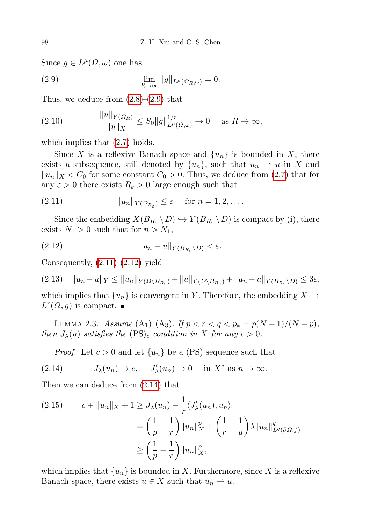Since  $g \in L^{\mu}(\Omega, \omega)$  one has

<span id="page-5-0"></span>(2.9) 
$$
\lim_{R \to \infty} ||g||_{L^{\mu}(\Omega_R,\omega)} = 0.
$$

Thus, we deduce from  $(2.8)$ – $(2.9)$  that

(2.10) 
$$
\frac{\|u\|_{Y(\Omega_R)}}{\|u\|_X} \le S_0 \|g\|_{L^{\mu}(\Omega,\omega)}^{1/r} \to 0 \quad \text{as } R \to \infty,
$$

which implies that  $(2.7)$  holds.

Since X is a reflexive Banach space and  $\{u_n\}$  is bounded in X, there exists a subsequence, still denoted by  $\{u_n\}$ , such that  $u_n \rightharpoonup u$  in X and  $||u_n||_X < C_0$  for some constant  $C_0 > 0$ . Thus, we deduce from [\(2.7\)](#page-4-2) that for any  $\varepsilon > 0$  there exists  $R_{\varepsilon} > 0$  large enough such that

<span id="page-5-1"></span>
$$
(2.11) \t\t\t ||u_n||_{Y(\Omega_{R_{\varepsilon}})} \leq \varepsilon \tfor n = 1, 2, ....
$$

Since the embedding  $X(B_{R_{\varepsilon}} \setminus D) \hookrightarrow Y(B_{R_{\varepsilon}} \setminus D)$  is compact by (i), there exists  $N_1 > 0$  such that for  $n > N_1$ ,

<span id="page-5-2"></span>(2.12) ku<sup>n</sup> − uk<sup>Y</sup> (BRε \D) < ε.

Consequently,  $(2.11)$ – $(2.12)$  yield

$$
(2.13) \quad \|u_n - u\|_Y \le \|u_n\|_{Y(\Omega \setminus B_{R_{\varepsilon}})} + \|u\|_{Y(\Omega \setminus B_{R_{\varepsilon}})} + \|u_n - u\|_{Y(B_{R_{\varepsilon}} \setminus D)} \le 3\varepsilon,
$$

which implies that  $\{u_n\}$  is convergent in Y. Therefore, the embedding  $X \hookrightarrow$  $L^r(\Omega, g)$  is compact.

LEMMA 2.3. Assume  $(A_1)$ – $(A_3)$ . If  $p < r < q < p_* = p(N-1)/(N-p)$ , then  $J_{\lambda}(u)$  satisfies the  $(PS)_{c}$  condition in X for any  $c > 0$ .

<span id="page-5-3"></span>*Proof.* Let  $c > 0$  and let  $\{u_n\}$  be a (PS) sequence such that

(2.14) 
$$
J_{\lambda}(u_n) \to c, \quad J'_{\lambda}(u_n) \to 0 \quad \text{in } X^* \text{ as } n \to \infty.
$$

Then we can deduce from (2.[14\)](#page-5-3) that

$$
(2.15) \t c + \|u_n\|_X + 1 \geq J_\lambda(u_n) - \frac{1}{r} \langle J_\lambda'(u_n), u_n \rangle
$$
  

$$
= \left(\frac{1}{p} - \frac{1}{r}\right) \|u_n\|_X^p + \left(\frac{1}{r} - \frac{1}{q}\right) \lambda \|u_n\|_{L^q(\partial\Omega, f)}^q
$$
  

$$
\geq \left(\frac{1}{p} - \frac{1}{r}\right) \|u_n\|_X^p,
$$

which implies that  $\{u_n\}$  is bounded in X. Furthermore, since X is a reflexive Banach space, there exists  $u \in X$  such that  $u_n \to u$ .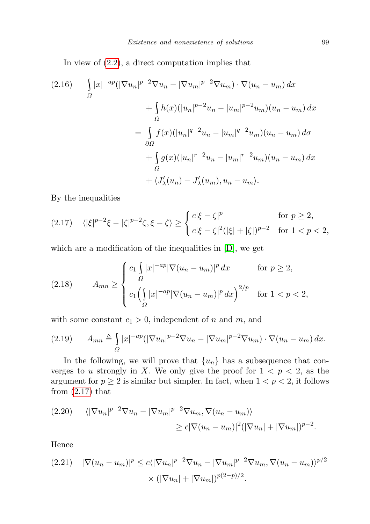In view of [\(2](#page-3-0).2), a direct computation implies that

<span id="page-6-3"></span>
$$
(2.16) \qquad \int_{\Omega} |x|^{-ap} (|\nabla u_n|^{p-2} \nabla u_n - |\nabla u_m|^{p-2} \nabla u_m) \cdot \nabla (u_n - u_m) \, dx
$$

$$
+ \int_{\Omega} h(x) (|u_n|^{p-2} u_n - |u_m|^{p-2} u_m) (u_n - u_m) \, dx
$$

$$
= \int_{\partial \Omega} f(x) (|u_n|^{q-2} u_n - |u_m|^{q-2} u_m) (u_n - u_m) \, d\sigma
$$

$$
+ \int_{\Omega} g(x) (|u_n|^{r-2} u_n - |u_m|^{r-2} u_m) (u_n - u_m) \, dx
$$

$$
+ \langle J_\lambda'(u_n) - J_\lambda'(u_m), u_n - u_m \rangle.
$$

By the inequalities

<span id="page-6-0"></span>
$$
(2.17) \quad \langle |\xi|^{p-2}\xi - |\zeta|^{p-2}\zeta, \xi - \zeta \rangle \ge \begin{cases} c|\xi - \zeta|^p & \text{for } p \ge 2, \\ c|\xi - \zeta|^2(|\xi| + |\zeta|)^{p-2} & \text{for } 1 < p < 2, \end{cases}
$$

which are a modification of the inequalities in [\[D\]](#page-13-1), we get

<span id="page-6-2"></span>(2.18) 
$$
A_{mn} \ge \begin{cases} c_1 \int_{\Omega} |x|^{-ap} |\nabla (u_n - u_m)|^p dx & \text{for } p \ge 2, \\ c_1 \left( \int_{\Omega} |x|^{-ap} |\nabla (u_n - u_m)|^p dx \right)^{2/p} & \text{for } 1 < p < 2, \end{cases}
$$

with some constant  $c_1 > 0$ , independent of n and m, and

$$
(2.19) \qquad A_{mn} \triangleq \int_{\Omega} |x|^{-ap} (|\nabla u_n|^{p-2} \nabla u_n - |\nabla u_m|^{p-2} \nabla u_m) \cdot \nabla (u_n - u_m) \, dx.
$$

In the following, we will prove that  $\{u_n\}$  has a subsequence that converges to u strongly in X. We only give the proof for  $1 < p < 2$ , as the argument for  $p \geq 2$  is similar but simpler. In fact, when  $1 < p < 2$ , it follows from  $(2.17)$  that

$$
(2.20) \qquad \langle |\nabla u_n|^{p-2} \nabla u_n - |\nabla u_m|^{p-2} \nabla u_m, \nabla (u_n - u_m) \rangle
$$
  

$$
\geq c |\nabla (u_n - u_m)|^2 (|\nabla u_n| + |\nabla u_m|)^{p-2}.
$$

Hence

<span id="page-6-1"></span>
$$
(2.21) \quad |\nabla(u_n - u_m)|^p \le c \langle |\nabla u_n|^{p-2} \nabla u_n - |\nabla u_m|^{p-2} \nabla u_m, \nabla(u_n - u_m) \rangle^{p/2}
$$

$$
\times (|\nabla u_n| + |\nabla u_m|)^{p(2-p)/2}.
$$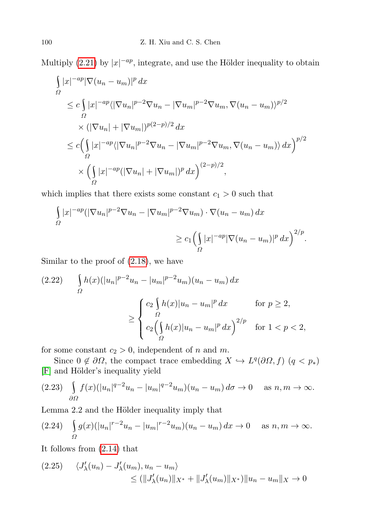Multiply [\(2.21\)](#page-6-1) by  $|x|^{-ap}$ , integrate, and use the Hölder inequality to obtain

$$
\int_{\Omega} |x|^{-ap} |\nabla (u_n - u_m)|^p dx
$$
\n
$$
\leq c \int_{\Omega} |x|^{-ap} \langle |\nabla u_n|^{p-2} \nabla u_n - |\nabla u_m|^{p-2} \nabla u_m, \nabla (u_n - u_m) \rangle^{p/2}
$$
\n
$$
\times (|\nabla u_n| + |\nabla u_m|)^{p(2-p)/2} dx
$$
\n
$$
\leq c \Big( \int_{\Omega} |x|^{-ap} \langle |\nabla u_n|^{p-2} \nabla u_n - |\nabla u_m|^{p-2} \nabla u_m, \nabla (u_n - u_m) \rangle dx \Big)^{p/2}
$$
\n
$$
\times \Big( \int_{\Omega} |x|^{-ap} (|\nabla u_n| + |\nabla u_m|)^p dx \Big)^{(2-p)/2},
$$

which implies that there exists some constant  $c_1 > 0$  such that

$$
\int_{\Omega} |x|^{-ap} (|\nabla u_n|^{p-2} \nabla u_n - |\nabla u_m|^{p-2} \nabla u_m) \cdot \nabla (u_n - u_m) dx
$$
  

$$
\ge c_1 \left( \int_{\Omega} |x|^{-ap} |\nabla (u_n - u_m)|^p dx \right)^{2/p}.
$$

Similar to the proof of [\(2.18\)](#page-6-2), we have

<span id="page-7-0"></span>
$$
(2.22) \qquad \int_{\Omega} h(x)(|u_n|^{p-2}u_n - |u_m|^{p-2}u_m)(u_n - u_m) dx
$$

$$
\geq \begin{cases} c_2 \int_{\Omega} h(x)|u_n - u_m|^p dx & \text{for } p \geq 2, \\ c_2 \left( \int_{\Omega} h(x)|u_n - u_m|^p dx \right)^{2/p} & \text{for } 1 < p < 2, \end{cases}
$$

for some constant  $c_2 > 0$ , independent of n and m.

Since  $0 \notin \partial\Omega$ , the compact trace embedding  $X \hookrightarrow L^q(\partial\Omega, f)$   $(q < p_*)$ [\[F\]](#page-13-17) and Hölder's inequality yield

$$
(2.23)\quad \int_{\partial\Omega} f(x)(|u_n|^{q-2}u_n - |u_m|^{q-2}u_m)(u_n - u_m) d\sigma \to 0 \quad \text{as } n, m \to \infty.
$$

Lemma 2.2 and the Hölder inequality imply that

$$
(2.24) \quad \int_{\Omega} g(x) (|u_n|^{r-2} u_n - |u_m|^{r-2} u_m) (u_n - u_m) \, dx \to 0 \quad \text{as } n, m \to \infty.
$$

It follows from [\(2.14\)](#page-5-3) that

<span id="page-7-1"></span>
$$
(2.25) \quad \langle J'_{\lambda}(u_{n}) - J'_{\lambda}(u_{m}), u_{n} - u_{m} \rangle \le (\|J'_{\lambda}(u_{n})\|_{X^{*}} + \|J'_{\lambda}(u_{m})\|_{X^{*}})\|u_{n} - u_{m}\|_{X} \to 0
$$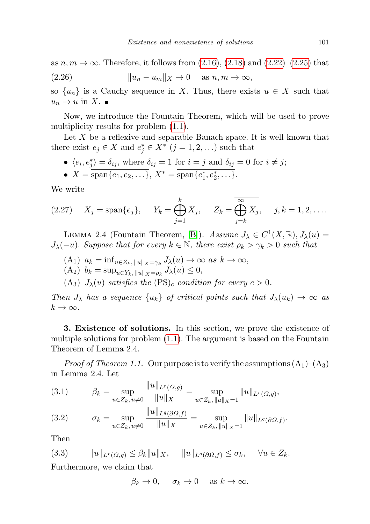<span id="page-8-1"></span>as  $n, m \to \infty$ . Therefore, it follows from  $(2.16)$ ,  $(2.18)$  and  $(2.22)$ – $(2.25)$  that (2.26)  $||u_n - u_m||_X \to 0$  as  $n, m \to \infty$ ,

so  $\{u_n\}$  is a Cauchy sequence in X. Thus, there exists  $u \in X$  such that  $u_n \to u$  in X.

Now, we introduce the Fountain Theorem, which will be used to prove multiplicity results for problem [\(1.1\)](#page-0-0).

Let  $X$  be a reflexive and separable Banach space. It is well known that there exist  $e_j \in X$  and  $e_j^* \in X^*$   $(j = 1, 2, ...)$  such that

•  $\langle e_i, e_j^* \rangle = \delta_{ij}$ , where  $\delta_{ij} = 1$  for  $i = j$  and  $\delta_{ij} = 0$  for  $i \neq j$ ;

• 
$$
X = \overline{\text{span}\{e_1, e_2, \ldots\}}, X^* = \overline{\text{span}\{e_1^*, e_2^*, \ldots\}}.
$$

We write

(2.27) 
$$
X_j = \text{span}\{e_j\}, \quad Y_k = \bigoplus_{j=1}^k X_j, \quad Z_k = \overline{\bigoplus_{j=k}^\infty X_j}, \quad j, k = 1, 2, \dots
$$

LEMMA 2.4 (Fountain Theorem, [\[B\]](#page-12-7)). Assume  $J_{\lambda} \in C^{1}(X,\mathbb{R}), J_{\lambda}(u) =$  $J_{\lambda}(-u)$ . Suppose that for every  $k \in \mathbb{N}$ , there exist  $\rho_k > \gamma_k > 0$  such that

 $(A_1)$   $a_k = \inf_{u \in Z_k, ||u||_X = \gamma_k} J_\lambda(u) \to \infty$  as  $k \to \infty$ ,

$$
(\mathbf{A}_2) \, b_k = \sup_{u \in Y_k, \|u\|_X = \rho_k} J_\lambda(u) \le 0,
$$

(A<sub>3</sub>)  $J_{\lambda}(u)$  satisfies the  $(PS)_{c}$  condition for every  $c > 0$ .

Then  $J_{\lambda}$  has a sequence  $\{u_k\}$  of critical points such that  $J_{\lambda}(u_k) \rightarrow \infty$  as  $k \to \infty$ .

3. Existence of solutions. In this section, we prove the existence of multiple solutions for problem [\(1.1\)](#page-0-0). The argument is based on the Fountain Theorem of Lemma 2.4.

*Proof of Theorem 1.1.* Our purpose is to verify the assumptions  $(A_1)$ – $(A_3)$ in Lemma 2.4. Let

(3.1) 
$$
\beta_k = \sup_{u \in Z_k, u \neq 0} \frac{\|u\|_{L^r(\Omega, g)}}{\|u\|_X} = \sup_{u \in Z_k, \|u\|_X = 1} \|u\|_{L^r(\Omega, g)},
$$

(3.2) 
$$
\sigma_k = \sup_{u \in Z_k, u \neq 0} \frac{\|u\|_{L^q(\partial \Omega, f)}}{\|u\|_X} = \sup_{u \in Z_k, \|u\|_X = 1} \|u\|_{L^q(\partial \Omega, f)}.
$$

Then

<span id="page-8-0"></span>
$$
(3.3) \t\t ||u||_{L^{r}(\Omega,g)} \leq \beta_k ||u||_X, \t ||u||_{L^{q}(\partial\Omega,f)} \leq \sigma_k, \t \forall u \in Z_k.
$$

Furthermore, we claim that

$$
\beta_k \to 0, \quad \sigma_k \to 0 \quad \text{as } k \to \infty.
$$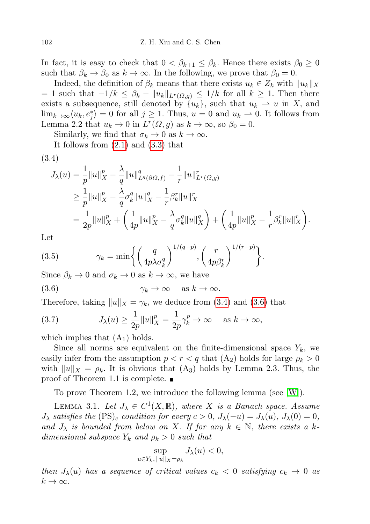In fact, it is easy to check that  $0 < \beta_{k+1} \leq \beta_k$ . Hence there exists  $\beta_0 \geq 0$ such that  $\beta_k \to \beta_0$  as  $k \to \infty$ . In the following, we prove that  $\beta_0 = 0$ .

Indeed, the definition of  $\beta_k$  means that there exists  $u_k \in Z_k$  with  $||u_k||_X$ = 1 such that  $-1/k \leq \beta_k - ||u_k||_{L^r(\Omega,q)} \leq 1/k$  for all  $k \geq 1$ . Then there exists a subsequence, still denoted by  $\{u_k\}$ , such that  $u_k \rightharpoonup u$  in X, and  $\lim_{k\to\infty} \langle u_k, e_j^* \rangle = 0$  for all  $j \ge 1$ . Thus,  $u = 0$  and  $u_k \to 0$ . It follows from Lemma 2.2 that  $u_k \to 0$  in  $L^r(\Omega, g)$  as  $k \to \infty$ , so  $\beta_0 = 0$ .

Similarly, we find that  $\sigma_k \to 0$  as  $k \to \infty$ .

It follows from [\(2.1\)](#page-3-1) and [\(3.3\)](#page-8-0) that

<span id="page-9-0"></span>
$$
(3.4)
$$

$$
J_{\lambda}(u) = \frac{1}{p} ||u||_{X}^{p} - \frac{\lambda}{q} ||u||_{L^{q}(\partial\Omega,f)}^{q} - \frac{1}{r} ||u||_{L^{r}(\Omega,g)}^{r}
$$
  
\n
$$
\geq \frac{1}{p} ||u||_{X}^{p} - \frac{\lambda}{q} \sigma_{k}^{q} ||u||_{X}^{q} - \frac{1}{r} \beta_{k}^{r} ||u||_{X}^{r}
$$
  
\n
$$
= \frac{1}{2p} ||u||_{X}^{p} + \left(\frac{1}{4p} ||u||_{X}^{p} - \frac{\lambda}{q} \sigma_{k}^{q} ||u||_{X}^{q}\right) + \left(\frac{1}{4p} ||u||_{X}^{p} - \frac{1}{r} \beta_{k}^{r} ||u||_{X}^{r}\right).
$$

.

Let

(3.5) 
$$
\gamma_k = \min \left\{ \left( \frac{q}{4p\lambda \sigma_k^q} \right)^{1/(q-p)}, \left( \frac{r}{4p\beta_k^r} \right)^{1/(r-p)} \right\}
$$

Since  $\beta_k \to 0$  and  $\sigma_k \to 0$  as  $k \to \infty$ , we have

<span id="page-9-1"></span>(3.6) 
$$
\gamma_k \to \infty \text{ as } k \to \infty.
$$

Therefore, taking  $||u||_X = \gamma_k$ , we deduce from [\(3.4\)](#page-9-0) and [\(3.6\)](#page-9-1) that

(3.7) 
$$
J_{\lambda}(u) \geq \frac{1}{2p} ||u||_{X}^{p} = \frac{1}{2p} \gamma_{k}^{p} \to \infty \quad \text{as } k \to \infty,
$$

which implies that  $(A_1)$  holds.

Since all norms are equivalent on the finite-dimensional space  $Y_k$ , we easily infer from the assumption  $p < r < q$  that  $(A_2)$  holds for large  $\rho_k > 0$ with  $||u||_X = \rho_k$ . It is obvious that  $(A_3)$  holds by Lemma 2.3. Thus, the proof of Theorem 1.1 is complete.

To prove Theorem 1.2, we introduce the following lemma (see [\[W\]](#page-13-18)).

LEMMA 3.1. Let  $J_{\lambda} \in C^{1}(X,\mathbb{R})$ , where X is a Banach space. Assume  $J_{\lambda}$  satisfies the  $(PS)_{c}$  condition for every  $c > 0$ ,  $J_{\lambda}(-u) = J_{\lambda}(u)$ ,  $J_{\lambda}(0) = 0$ , and  $J_{\lambda}$  is bounded from below on X. If for any  $k \in \mathbb{N}$ , there exists a kdimensional subspace  $Y_k$  and  $\rho_k > 0$  such that

$$
\sup_{u \in Y_k, \|u\|_X = \rho_k} J_\lambda(u) < 0,
$$

then  $J_{\lambda}(u)$  has a sequence of critical values  $c_k < 0$  satisfying  $c_k \to 0$  as  $k \to \infty$ .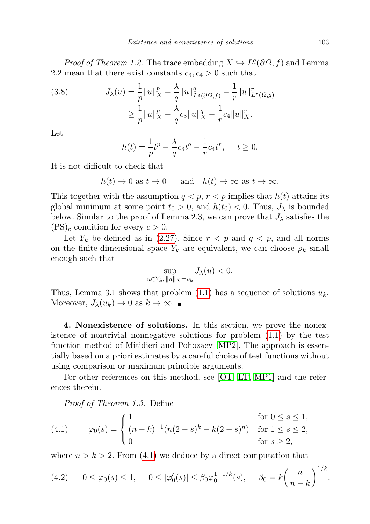*Proof of Theorem 1.2.* The trace embedding  $X \hookrightarrow L^q(\partial\Omega, f)$  and Lemma 2.2 mean that there exist constants  $c_3, c_4 > 0$  such that

(3.8) 
$$
J_{\lambda}(u) = \frac{1}{p} ||u||_{X}^{p} - \frac{\lambda}{q} ||u||_{L^{q}(\partial\Omega,f)}^{q} - \frac{1}{r} ||u||_{L^{r}(\Omega,g)}^{r}
$$

$$
\geq \frac{1}{p} ||u||_{X}^{p} - \frac{\lambda}{q} c_{3} ||u||_{X}^{q} - \frac{1}{r} c_{4} ||u||_{X}^{r}.
$$

Let

$$
h(t) = \frac{1}{p}t^{p} - \frac{\lambda}{q}c_{3}t^{q} - \frac{1}{r}c_{4}t^{r}, \quad t \ge 0.
$$

It is not difficult to check that

$$
h(t) \to 0
$$
 as  $t \to 0^+$  and  $h(t) \to \infty$  as  $t \to \infty$ .

This together with the assumption  $q < p$ ,  $r < p$  implies that  $h(t)$  attains its global minimum at some point  $t_0 > 0$ , and  $h(t_0) < 0$ . Thus,  $J_\lambda$  is bounded below. Similar to the proof of Lemma 2.3, we can prove that  $J_{\lambda}$  satisfies the  $(PS)<sub>c</sub>$  condition for every  $c > 0$ .

Let  $Y_k$  be defined as in [\(2.27\)](#page-8-1). Since  $r < p$  and  $q < p$ , and all norms on the finite-dimensional space  $Y_k$  are equivalent, we can choose  $\rho_k$  small enough such that

$$
\sup_{u \in Y_k, \|u\|_X = \rho_k} J_\lambda(u) < 0.
$$

Thus, Lemma 3.1 shows that problem  $(1.1)$  has a sequence of solutions  $u_k$ . Moreover,  $J_{\lambda}(u_k) \to 0$  as  $k \to \infty$ .

4. Nonexistence of solutions. In this section, we prove the nonexistence of nontrivial nonnegative solutions for problem [\(1.1\)](#page-0-0) by the test function method of Mitidieri and Pohozaev [\[MP2\]](#page-13-12). The approach is essentially based on a priori estimates by a careful choice of test functions without using comparison or maximum principle arguments.

For other references on this method, see [\[OT,](#page-13-19) [LT,](#page-13-20) [MP1\]](#page-13-21) and the references therein.

<span id="page-10-0"></span>Proof of Theorem 1.3. Define

(4.1) 
$$
\varphi_0(s) = \begin{cases} 1 & \text{for } 0 \le s \le 1, \\ (n-k)^{-1} (n(2-s)^k - k(2-s)^n) & \text{for } 1 \le s \le 2, \\ 0 & \text{for } s \ge 2, \end{cases}
$$

where  $n > k > 2$ . From [\(4.1\)](#page-10-0) we deduce by a direct computation that

<span id="page-10-1"></span>
$$
(4.2) \qquad 0 \le \varphi_0(s) \le 1, \qquad 0 \le |\varphi'_0(s)| \le \beta_0 \varphi_0^{1-1/k}(s), \qquad \beta_0 = k \bigg(\frac{n}{n-k}\bigg)^{1/k}.
$$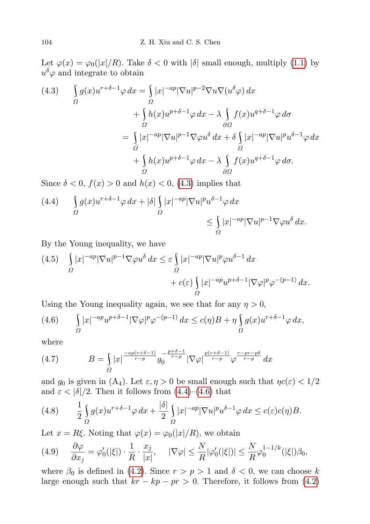Let  $\varphi(x) = \varphi_0(|x|/R)$ . Take  $\delta < 0$  with  $|\delta|$  small enough, multiply [\(1.1\)](#page-0-0) by  $u^{\delta}\varphi$  and integrate to obtain

<span id="page-11-0"></span>
$$
(4.3) \int_{\Omega} g(x)u^{r+\delta-1}\varphi \,dx = \int_{\Omega} |x|^{-ap}|\nabla u|^{p-2}\nabla u \nabla (u^{\delta}\varphi) \,dx \n+ \int_{\Omega} h(x)u^{p+\delta-1}\varphi \,dx - \lambda \int_{\Omega} f(x)u^{q+\delta-1}\varphi \,d\sigma \n= \int_{\Omega} |x|^{-ap}|\nabla u|^{p-1}\nabla \varphi u^{\delta} \,dx + \delta \int_{\Omega} |x|^{-ap}|\nabla u|^{p}u^{\delta-1}\varphi \,dx \n+ \int_{\Omega} h(x)u^{p+\delta-1}\varphi \,dx - \lambda \int_{\partial\Omega} f(x)u^{q+\delta-1}\varphi \,d\sigma.
$$

Since  $\delta < 0$ ,  $f(x) > 0$  and  $h(x) < 0$ , [\(4.3\)](#page-11-0) implies that

<span id="page-11-1"></span>(4.4) 
$$
\int_{\Omega} g(x)u^{r+\delta-1}\varphi \,dx + |\delta| \int_{\Omega} |x|^{-ap} |\nabla u|^p u^{\delta-1}\varphi \,dx
$$

$$
\leq \int_{\Omega} |x|^{-ap} |\nabla u|^{p-1} \nabla \varphi u^{\delta} \,dx.
$$

By the Young inequality, we have

(4.5) 
$$
\int_{\Omega} |x|^{-ap} |\nabla u|^{p-1} \nabla \varphi u^{\delta} dx \leq \varepsilon \int_{\Omega} |x|^{-ap} |\nabla u|^p \varphi u^{\delta-1} dx + c(\varepsilon) \int_{\Omega} |x|^{-ap} u^{p+\delta-1} |\nabla \varphi|^p \varphi^{-(p-1)} dx.
$$

Using the Young inequality again, we see that for any  $\eta > 0$ ,

<span id="page-11-2"></span>(4.6) 
$$
\int_{\Omega} |x|^{-ap} u^{p+\delta-1} |\nabla \varphi|^p \varphi^{-(p-1)} dx \le c(\eta) B + \eta \int_{\Omega} g(x) u^{r+\delta-1} \varphi dx,
$$

where

<span id="page-11-4"></span>(4.7) 
$$
B = \int_{\Omega} |x|^{-\frac{ap(r+\delta-1)}{r-p}} g_0^{-\frac{p+\delta-1}{r-p}} |\nabla \varphi|^{\frac{p(r+\delta-1)}{r-p}} \varphi^{\frac{r-pr-p\delta}{r-p}} dx
$$

and  $g_0$  is given in  $(A_4)$ . Let  $\varepsilon, \eta > 0$  be small enough such that  $\eta c(\varepsilon) < 1/2$ and  $\varepsilon < |\delta|/2$ . Then it follows from  $(4.4)$ – $(4.6)$  that

<span id="page-11-5"></span>(4.8) 
$$
\frac{1}{2} \int_{\Omega} g(x) u^{r+\delta-1} \varphi \, dx + \frac{|\delta|}{2} \int_{\Omega} |x|^{-ap} |\nabla u|^p u^{\delta-1} \varphi \, dx \leq c(\varepsilon) c(\eta) B.
$$

Let  $x = R\xi$ . Noting that  $\varphi(x) = \varphi_0(|x|/R)$ , we obtain

<span id="page-11-3"></span>
$$
(4.9) \qquad \frac{\partial \varphi}{\partial x_j} = \varphi'_0(|\xi|) \cdot \frac{1}{R} \cdot \frac{x_j}{|x|}, \qquad |\nabla \varphi| \le \frac{N}{R} |\varphi'_0(|\xi|)| \le \frac{N}{R} \varphi_0^{1-1/k}(|\xi|) \beta_0,
$$

where  $\beta_0$  is defined in [\(4.2\)](#page-10-1). Since  $r > p > 1$  and  $\delta < 0$ , we can choose k large enough such that  $kr - kp - pr > 0$ . Therefore, it follows from [\(4.2\)](#page-10-1)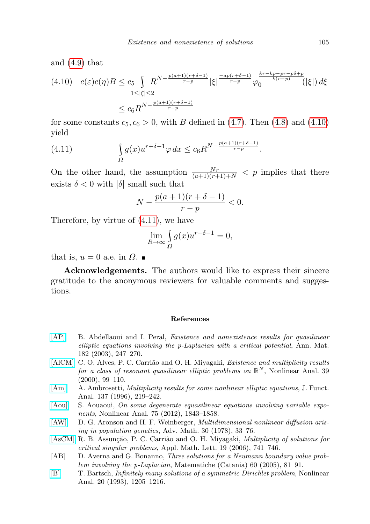and [\(4.9\)](#page-11-3) that

<span id="page-12-8"></span>
$$
(4.10) \quad c(\varepsilon)c(\eta)B \le c_5 \int_{1 \le |\xi| \le 2} R^{N - \frac{p(a+1)(r+\delta-1)}{r-p}} |\xi|^{\frac{-ap(r+\delta-1)}{r-p}} \varphi_0^{\frac{kr - kp - pr - p\delta + p}{k(r-p)}}(|\xi|) d\xi
$$
  

$$
\le c_6 R^{N - \frac{p(a+1)(r+\delta-1)}{r-p}}
$$

for some constants  $c_5, c_6 > 0$ , with B defined in [\(4.7\)](#page-11-4). Then [\(4.8\)](#page-11-5) and [\(4.10\)](#page-12-8) yield

(4.11) 
$$
\int_{\Omega} g(x) u^{r+\delta-1} \varphi \, dx \leq c_6 R^{N - \frac{p(a+1)(r+\delta-1)}{r-p}}.
$$

On the other hand, the assumption  $\frac{Nr}{(a+1)(r+1)+N} < p$  implies that there exists  $\delta < 0$  with  $|\delta|$  small such that

$$
N - \frac{p(a+1)(r+\delta-1)}{r-p} < 0.
$$

Therefore, by virtue of [\(4.11\)](#page-12-8), we have

$$
\lim_{R \to \infty} \int_{\Omega} g(x) u^{r+\delta - 1} = 0,
$$

that is,  $u = 0$  a.e. in  $\Omega$ .

Acknowledgements. The authors would like to express their sincere gratitude to the anonymous reviewers for valuable comments and suggestions.

## References

- <span id="page-12-6"></span>[\[AP\]](http://dx.doi.org/10.1007/s10231-002-0064-y) B. Abdellaoui and I. Peral, Existence and nonexistence results for quasilinear elliptic equations involving the p-Laplacian with a critical potential, Ann. Mat. 182 (2003), 247–270.
- <span id="page-12-1"></span>[\[AlCM\]](http://dx.doi.org/10.1016/S0362-546X(98)00176-X) C. O. Alves, P. C. Carrião and O. H. Miyagaki, *Existence and multiplicity results* for a class of resonant quasilinear elliptic problems on  $\mathbb{R}^N$ , Nonlinear Anal. 39 (2000), 99–110.
- <span id="page-12-3"></span>[\[Am\]](http://dx.doi.org/10.1006/jfan.1996.0045) A. Ambrosetti, *Multiplicity results for some nonlinear elliptic equations*, J. Funct. Anal. 137 (1996), 219–242.
- <span id="page-12-4"></span>[\[Aou\]](http://dx.doi.org/10.1016/j.na.2011.09.035) S. Aouaoui, On some degenerate equasilinear equations involving variable exponents, Nonlinear Anal. 75 (2012), 1843–1858.
- <span id="page-12-0"></span>[\[AW\]](http://dx.doi.org/10.1016/0001-8708(78)90130-5) D. G. Aronson and H. F. Weinberger, Multidimensional nonlinear diffusion arising in population genetics, Adv. Math. 30 (1978), 33–76.
- <span id="page-12-5"></span>[\[AsCM\]](http://dx.doi.org/10.1016/j.aml.2005.10.004) R. B. Assunção, P. C. Carrião and O. H. Miyagaki, *Multiplicity of solutions for* critical singular problems, Appl. Math. Lett. 19 (2006), 741–746.
- <span id="page-12-2"></span>[AB] D. Averna and G. Bonanno, Three solutions for a Neumann boundary value problem involving the p-Laplacian, Matematiche (Catania) 60 (2005), 81–91.
- <span id="page-12-7"></span>[\[B\]](http://dx.doi.org/10.1016/0362-546X(93)90151-H) T. Bartsch, Infinitely many solutions of a symmetric Dirichlet problem, Nonlinear Anal. 20 (1993), 1205–1216.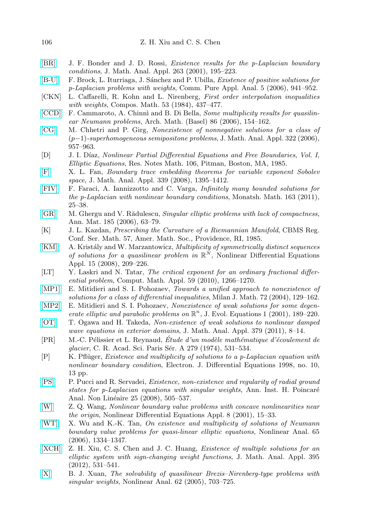- <span id="page-13-6"></span>[\[BR\]](http://dx.doi.org/10.1006/jmaa.2001.7609) J. F. Bonder and J. D. Rossi, Existence results for the p-Laplacian boundary conditions, J. Math. Anal. Appl. 263 (2001), 195–223.
- <span id="page-13-14"></span>[\[B-U\]](http://dx.doi.org/10.3934/cpaa.2006.5.941) F. Brock, L. Iturriaga, J. Sánchez and P. Ubilla, *Existence of positive solutions for* p-Laplacian problems with weights, Comm. Pure Appl. Anal. 5 (2006), 941–952.
- <span id="page-13-13"></span>[CKN] L. Caffarelli, R. Kohn and L. Nirenberg, First order interpolation inequalities with weights, Compos. Math. 53 (1984), 437–477.
- <span id="page-13-3"></span>[\[CCD\]](http://dx.doi.org/10.1007/s00013-005-1425-8) F. Cammaroto, A. Chinnì and B. Di Bella, Some multiplicity results for quasilinear Neumann problems, Arch. Math. (Basel) 86 (2006), 154–162.
- <span id="page-13-10"></span>[\[CG\]](http://dx.doi.org/10.1016/j.jmaa.2005.09.061) M. Chhetri and P. Girg, Nonexistence of nonnegative solutions for a class of (p−1)-superhomogeneous semipositone problems, J. Math. Anal. Appl. 322 (2006), 957–963.
- <span id="page-13-1"></span>[D] J. I. Díaz, Nonlinear Partial Differential Equations and Free Boundaries, Vol. I, Elliptic Equations, Res. Notes Math. 106, Pitman, Boston, MA, 1985.
- <span id="page-13-17"></span>[\[F\]](http://dx.doi.org/10.1016/j.jmaa.2007.08.003) X. L. Fan, Boundary trace embedding theorems for variable exponent Sobolev space, J. Math. Anal. Appl. 339 (2008), 1395–1412.
- <span id="page-13-9"></span>[\[FIV\]](http://dx.doi.org/10.1007/s00605-010-0190-3) F. Faraci, A. Iannizzotto and C. Varga, Infinitely many bounded solutions for the p-Laplacian with nonlinear boundary conditions, Monatsh. Math. 163 (2011), 25–38.
- <span id="page-13-15"></span>[\[GR\]](http://dx.doi.org/10.1007/s10231-004-0128-2) M. Ghergu and V. Rădulescu, Singular elliptic problems with lack of compactness, Ann. Mat. 185 (2006), 63–79.
- <span id="page-13-0"></span>[K] J. L. Kazdan, Prescribing the Curvature of a Riemannian Manifold, CBMS Reg. Conf. Ser. Math. 57, Amer. Math. Soc., Providence, RI, 1985.
- <span id="page-13-5"></span>[\[KM\]](http://dx.doi.org/10.1007/s00030-007-7015-7) A. Kristály and W. Marzantowicz, *Multiplicity of symmetrically distinct sequences* of solutions for a quasilinear problem in  $\mathbb{R}^N$ , Nonlinear Differential Equations Appl. 15 (2008), 209–226.
- <span id="page-13-20"></span>[LT] Y. Laskri and N. Tatar, The critical exponent for an ordinary fractional differential problem, Comput. Math. Appl. 59 (2010), 1266–1270.
- <span id="page-13-21"></span>[\[MP1\]](http://dx.doi.org/10.1007/s00032-004-0032-7) E. Mitidieri and S. I. Pohozaev, Towards a unified approach to nonexistence of solutions for a class of differential inequalities, Milan J. Math. 72 (2004), 129–162.
- <span id="page-13-12"></span>[\[MP2\]](http://dx.doi.org/10.1007/PL00001368) E. Mitidieri and S. I. Pohozaev, Nonexistence of weak solutions for some degenerate elliptic and parabolic problems on  $\mathbb{R}^n$ , J. Evol. Equations 1 (2001), 189-220.
- <span id="page-13-19"></span>[\[OT\]](http://dx.doi.org/10.1016/j.jmaa.2010.12.012) T. Ogawa and H. Takeda, Non-existence of weak solutions to nonlinear damped wave equations in exterior domains, J. Math. Anal. Appl. 379 (2011), 8–14.
- <span id="page-13-2"></span> $[PR]$  M.-C. Pélissier et L. Reynaud, Étude d'un modèle mathématique d'écoulement de glacier, C. R. Acad. Sci. Paris Sér. A 279 (1974), 531–534.
- <span id="page-13-7"></span>[P] K. Pflüger, *Existence and multiplicity of solutions to a p-Laplacian equation with* nonlinear boundary condition, Electron. J. Differential Equations 1998, no. 10, 13 pp.
- <span id="page-13-11"></span>[\[PS\]](http://dx.doi.org/10.1016/j.anihpc.2007.02.004) P. Pucci and R. Servadei, Existence, non-existence and regularity of radial ground states for  $p$ -Laplacian equations with singular weights, Ann. Inst. H. Poincaré Anal. Non Linéaire 25 (2008), 505–537.
- <span id="page-13-18"></span>[\[W\]](http://dx.doi.org/10.1007/PL00001436) Z. Q. Wang, Nonlinear boundary value problems with concave nonlinearities near the origin, Nonlinear Differential Equations Appl. 8 (2001), 15–33.
- <span id="page-13-4"></span>[\[WT\]](http://dx.doi.org/10.1016/j.na.2005.10.010) X. Wu and K.-K. Tan, On existence and multiplicity of solutions of Neumann boundary value problems for quasi-linear elliptic equations, Nonlinear Anal. 65 (2006), 1334–1347.
- <span id="page-13-8"></span>[\[XCH\]](http://dx.doi.org/10.1016/j.jmaa.2012.05.059) Z. H. Xiu, C. S. Chen and J. C. Huang, Existence of multiple solutions for an elliptic system with sign-changing weight functions, J. Math. Anal. Appl. 395 (2012), 531–541.
- <span id="page-13-16"></span>[\[X\]](http://dx.doi.org/10.1016/j.na.2005.03.095) B. J. Xuan, The solvability of quasilinear Brezis–Nirenberg-type problems with singular weights, Nonlinear Anal. 62 (2005), 703–725.